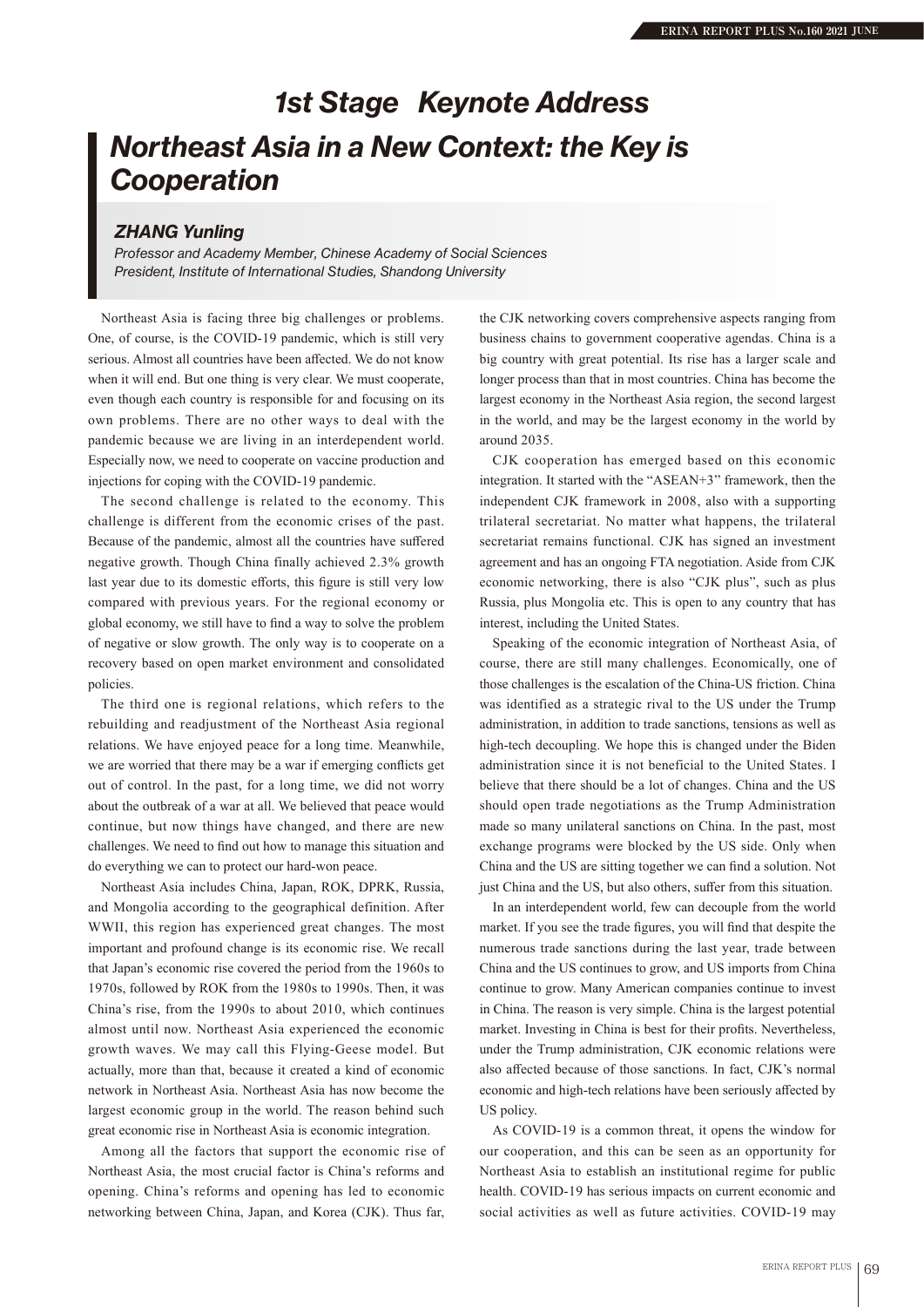## *Northeast Asia in a New Context: the Key is Cooperation 1st Stage Keynote Address*

## *ZHANG Yunling*

*Professor and Academy Member, Chinese Academy of Social Sciences President, Institute of International Studies, Shandong University*

Northeast Asia is facing three big challenges or problems. One, of course, is the COVID-19 pandemic, which is still very serious. Almost all countries have been affected. We do not know when it will end. But one thing is very clear. We must cooperate, even though each country is responsible for and focusing on its own problems. There are no other ways to deal with the pandemic because we are living in an interdependent world. Especially now, we need to cooperate on vaccine production and injections for coping with the COVID-19 pandemic.

The second challenge is related to the economy. This challenge is different from the economic crises of the past. Because of the pandemic, almost all the countries have suffered negative growth. Though China finally achieved 2.3% growth last year due to its domestic efforts, this figure is still very low compared with previous years. For the regional economy or global economy, we still have to find a way to solve the problem of negative or slow growth. The only way is to cooperate on a recovery based on open market environment and consolidated policies.

The third one is regional relations, which refers to the rebuilding and readjustment of the Northeast Asia regional relations. We have enjoyed peace for a long time. Meanwhile, we are worried that there may be a war if emerging conflicts get out of control. In the past, for a long time, we did not worry about the outbreak of a war at all. We believed that peace would continue, but now things have changed, and there are new challenges. We need to find out how to manage this situation and do everything we can to protect our hard-won peace.

Northeast Asia includes China, Japan, ROK, DPRK, Russia, and Mongolia according to the geographical definition. After WWII, this region has experienced great changes. The most important and profound change is its economic rise. We recall that Japan's economic rise covered the period from the 1960s to 1970s, followed by ROK from the 1980s to 1990s. Then, it was China's rise, from the 1990s to about 2010, which continues almost until now. Northeast Asia experienced the economic growth waves. We may call this Flying-Geese model. But actually, more than that, because it created a kind of economic network in Northeast Asia. Northeast Asia has now become the largest economic group in the world. The reason behind such great economic rise in Northeast Asia is economic integration.

Among all the factors that support the economic rise of Northeast Asia, the most crucial factor is China's reforms and opening. China's reforms and opening has led to economic networking between China, Japan, and Korea (CJK). Thus far,

the CJK networking covers comprehensive aspects ranging from business chains to government cooperative agendas. China is a big country with great potential. Its rise has a larger scale and longer process than that in most countries. China has become the largest economy in the Northeast Asia region, the second largest in the world, and may be the largest economy in the world by around 2035.

CJK cooperation has emerged based on this economic integration. It started with the "ASEAN+3" framework, then the independent CJK framework in 2008, also with a supporting trilateral secretariat. No matter what happens, the trilateral secretariat remains functional. CJK has signed an investment agreement and has an ongoing FTA negotiation. Aside from CJK economic networking, there is also "CJK plus", such as plus Russia, plus Mongolia etc. This is open to any country that has interest, including the United States.

Speaking of the economic integration of Northeast Asia, of course, there are still many challenges. Economically, one of those challenges is the escalation of the China-US friction. China was identified as a strategic rival to the US under the Trump administration, in addition to trade sanctions, tensions as well as high-tech decoupling. We hope this is changed under the Biden administration since it is not beneficial to the United States. I believe that there should be a lot of changes. China and the US should open trade negotiations as the Trump Administration made so many unilateral sanctions on China. In the past, most exchange programs were blocked by the US side. Only when China and the US are sitting together we can find a solution. Not just China and the US, but also others, suffer from this situation.

In an interdependent world, few can decouple from the world market. If you see the trade figures, you will find that despite the numerous trade sanctions during the last year, trade between China and the US continues to grow, and US imports from China continue to grow. Many American companies continue to invest in China. The reason is very simple. China is the largest potential market. Investing in China is best for their profits. Nevertheless, under the Trump administration, CJK economic relations were also affected because of those sanctions. In fact, CJK's normal economic and high-tech relations have been seriously affected by US policy.

As COVID-19 is a common threat, it opens the window for our cooperation, and this can be seen as an opportunity for Northeast Asia to establish an institutional regime for public health. COVID-19 has serious impacts on current economic and social activities as well as future activities. COVID-19 may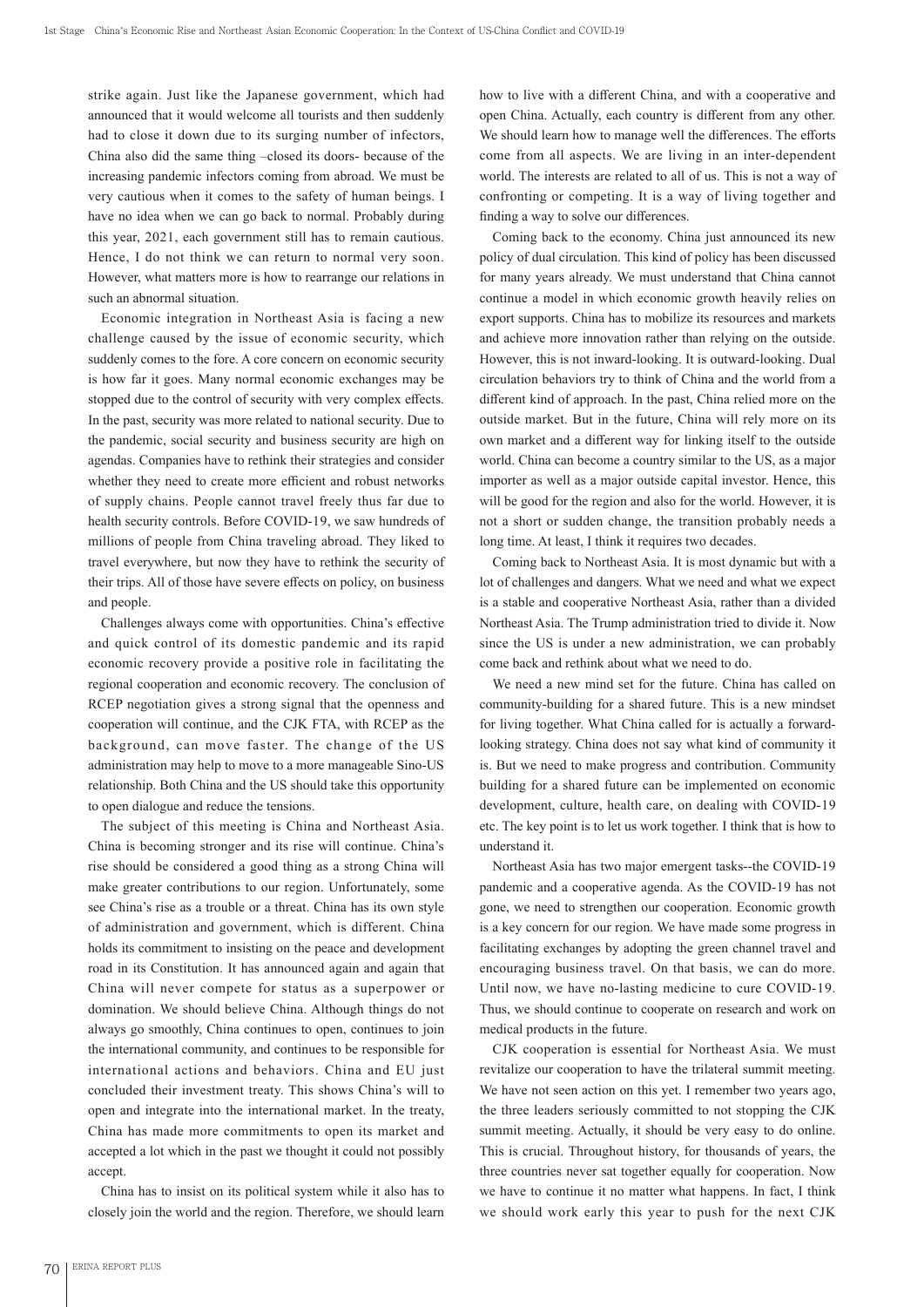strike again. Just like the Japanese government, which had announced that it would welcome all tourists and then suddenly had to close it down due to its surging number of infectors. China also did the same thing –closed its doors- because of the increasing pandemic infectors coming from abroad. We must be very cautious when it comes to the safety of human beings. I have no idea when we can go back to normal. Probably during this year, 2021, each government still has to remain cautious. Hence, I do not think we can return to normal very soon. However, what matters more is how to rearrange our relations in such an abnormal situation.

Economic integration in Northeast Asia is facing a new challenge caused by the issue of economic security, which suddenly comes to the fore. A core concern on economic security is how far it goes. Many normal economic exchanges may be stopped due to the control of security with very complex effects. In the past, security was more related to national security. Due to the pandemic, social security and business security are high on agendas. Companies have to rethink their strategies and consider whether they need to create more efficient and robust networks of supply chains. People cannot travel freely thus far due to health security controls. Before COVID-19, we saw hundreds of millions of people from China traveling abroad. They liked to travel everywhere, but now they have to rethink the security of their trips. All of those have severe effects on policy, on business and people.

Challenges always come with opportunities. China's effective and quick control of its domestic pandemic and its rapid economic recovery provide a positive role in facilitating the regional cooperation and economic recovery. The conclusion of RCEP negotiation gives a strong signal that the openness and cooperation will continue, and the CJK FTA, with RCEP as the background, can move faster. The change of the US administration may help to move to a more manageable Sino-US relationship. Both China and the US should take this opportunity to open dialogue and reduce the tensions.

The subject of this meeting is China and Northeast Asia. China is becoming stronger and its rise will continue. China's rise should be considered a good thing as a strong China will make greater contributions to our region. Unfortunately, some see China's rise as a trouble or a threat. China has its own style of administration and government, which is different. China holds its commitment to insisting on the peace and development road in its Constitution. It has announced again and again that China will never compete for status as a superpower or domination. We should believe China. Although things do not always go smoothly, China continues to open, continues to join the international community, and continues to be responsible for international actions and behaviors. China and EU just concluded their investment treaty. This shows China's will to open and integrate into the international market. In the treaty, China has made more commitments to open its market and accepted a lot which in the past we thought it could not possibly accept.

China has to insist on its political system while it also has to closely join the world and the region. Therefore, we should learn how to live with a different China, and with a cooperative and open China. Actually, each country is different from any other. We should learn how to manage well the differences. The efforts come from all aspects. We are living in an inter-dependent world. The interests are related to all of us. This is not a way of confronting or competing. It is a way of living together and finding a way to solve our differences.

Coming back to the economy. China just announced its new policy of dual circulation. This kind of policy has been discussed for many years already. We must understand that China cannot continue a model in which economic growth heavily relies on export supports. China has to mobilize its resources and markets and achieve more innovation rather than relying on the outside. However, this is not inward-looking. It is outward-looking. Dual circulation behaviors try to think of China and the world from a different kind of approach. In the past, China relied more on the outside market. But in the future, China will rely more on its own market and a different way for linking itself to the outside world. China can become a country similar to the US, as a major importer as well as a major outside capital investor. Hence, this will be good for the region and also for the world. However, it is not a short or sudden change, the transition probably needs a long time. At least, I think it requires two decades.

Coming back to Northeast Asia. It is most dynamic but with a lot of challenges and dangers. What we need and what we expect is a stable and cooperative Northeast Asia, rather than a divided Northeast Asia. The Trump administration tried to divide it. Now since the US is under a new administration, we can probably come back and rethink about what we need to do.

We need a new mind set for the future. China has called on community-building for a shared future. This is a new mindset for living together. What China called for is actually a forwardlooking strategy. China does not say what kind of community it is. But we need to make progress and contribution. Community building for a shared future can be implemented on economic development, culture, health care, on dealing with COVID-19 etc. The key point is to let us work together. I think that is how to understand it.

Northeast Asia has two major emergent tasks--the COVID-19 pandemic and a cooperative agenda. As the COVID-19 has not gone, we need to strengthen our cooperation. Economic growth is a key concern for our region. We have made some progress in facilitating exchanges by adopting the green channel travel and encouraging business travel. On that basis, we can do more. Until now, we have no-lasting medicine to cure COVID-19. Thus, we should continue to cooperate on research and work on medical products in the future.

CJK cooperation is essential for Northeast Asia. We must revitalize our cooperation to have the trilateral summit meeting. We have not seen action on this yet. I remember two years ago, the three leaders seriously committed to not stopping the CJK summit meeting. Actually, it should be very easy to do online. This is crucial. Throughout history, for thousands of years, the three countries never sat together equally for cooperation. Now we have to continue it no matter what happens. In fact, I think we should work early this year to push for the next CJK